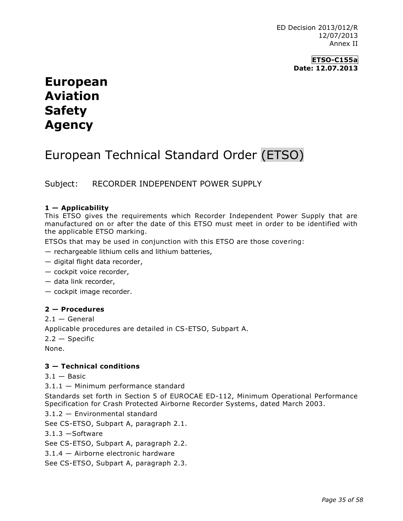ED Decision 2013/012/R 12/07/2013 Annex II

> **ETSO-C155a Date: 12.07.2013**

## **European Aviation Safety Agency**

# European Technical Standard Order (ETSO)

Subject: RECORDER INDEPENDENT POWER SUPPLY

## **1 — Applicability**

This ETSO gives the requirements which Recorder Independent Power Supply that are manufactured on or after the date of this ETSO must meet in order to be identified with the applicable ETSO marking.

ETSOs that may be used in conjunction with this ETSO are those covering:

- rechargeable lithium cells and lithium batteries,
- digital flight data recorder,
- cockpit voice recorder,
- data link recorder,
- cockpit image recorder.

### **2 — Procedures**

 $2.1 -$  General Applicable procedures are detailed in CS-ETSO, Subpart A. 2.2 — Specific None.

### **3 — Technical conditions**

 $3.1 -$  Basic

3.1.1 — Minimum performance standard

Standards set forth in Section 5 of EUROCAE ED-112, Minimum Operational Performance Specification for Crash Protected Airborne Recorder Systems, dated March 2003.

3.1.2 — Environmental standard

See CS-ETSO, Subpart A, paragraph 2.1.

3.1.3 —Software

See CS-ETSO, Subpart A, paragraph 2.2.

3.1.4 — Airborne electronic hardware

See CS-ETSO, Subpart A, paragraph 2.3.